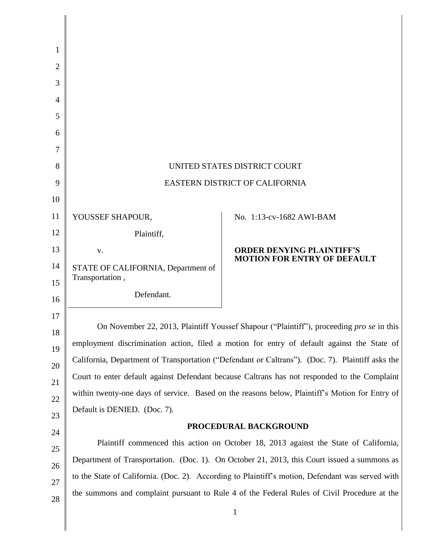| 1              |                                                                                                  |                                                                        |
|----------------|--------------------------------------------------------------------------------------------------|------------------------------------------------------------------------|
| 2              |                                                                                                  |                                                                        |
| 3              |                                                                                                  |                                                                        |
| $\overline{4}$ |                                                                                                  |                                                                        |
| 5              |                                                                                                  |                                                                        |
| 6              |                                                                                                  |                                                                        |
| 7              |                                                                                                  |                                                                        |
| 8              | UNITED STATES DISTRICT COURT                                                                     |                                                                        |
| 9              | EASTERN DISTRICT OF CALIFORNIA                                                                   |                                                                        |
| 10             |                                                                                                  |                                                                        |
| 11             | YOUSSEF SHAPOUR,                                                                                 | No. 1:13-cv-1682 AWI-BAM                                               |
| 12             | Plaintiff,                                                                                       |                                                                        |
| 13             | V.                                                                                               | <b>ORDER DENYING PLAINTIFF'S</b><br><b>MOTION FOR ENTRY OF DEFAULT</b> |
| 14             | STATE OF CALIFORNIA, Department of                                                               |                                                                        |
| 15             | Transportation,                                                                                  |                                                                        |
| 16             | Defendant.                                                                                       |                                                                        |
| 17             | On November 22, 2013, Plaintiff Youssef Shapour ("Plaintiff"), proceeding pro se in this         |                                                                        |
| 18             | employment discrimination action, filed a motion for entry of default against the State of       |                                                                        |
| 19             | California, Department of Transportation ("Defendant or Caltrans"). (Doc. 7). Plaintiff asks the |                                                                        |
| 20             | Court to enter default against Defendant because Caltrans has not responded to the Complaint     |                                                                        |
| 21             | within twenty-one days of service. Based on the reasons below, Plaintiff's Motion for Entry of   |                                                                        |
| 22             | Default is DENIED. (Doc. 7).                                                                     |                                                                        |
| 23             | PROCEDURAL BACKGROUND                                                                            |                                                                        |
| 24             | Plaintiff commenced this action on October 18, 2013 against the State of California,             |                                                                        |
| 25             | Department of Transportation. (Doc. 1). On October 21, 2013, this Court issued a summons as      |                                                                        |
| 26<br>27       | to the State of California. (Doc. 2). According to Plaintiff's motion, Defendant was served with |                                                                        |
| 28             | the summons and complaint pursuant to Rule 4 of the Federal Rules of Civil Procedure at the      |                                                                        |
|                |                                                                                                  |                                                                        |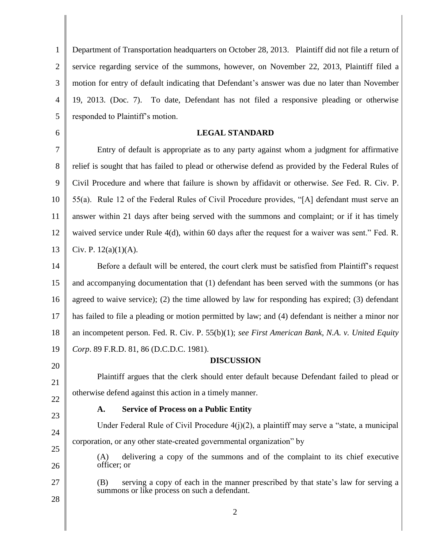1 2 3 4 5 Department of Transportation headquarters on October 28, 2013. Plaintiff did not file a return of service regarding service of the summons, however, on November 22, 2013, Plaintiff filed a motion for entry of default indicating that Defendant's answer was due no later than November 19, 2013. (Doc. 7). To date, Defendant has not filed a responsive pleading or otherwise responded to Plaintiff's motion.

## **LEGAL STANDARD**

7 8 9 10 11 12 13 Entry of default is appropriate as to any party against whom a judgment for affirmative relief is sought that has failed to plead or otherwise defend as provided by the Federal Rules of Civil Procedure and where that failure is shown by affidavit or otherwise. *See* Fed. R. Civ. P. 55(a). Rule 12 of the Federal Rules of Civil Procedure provides, "[A] defendant must serve an answer within 21 days after being served with the summons and complaint; or if it has timely waived service under Rule 4(d), within 60 days after the request for a waiver was sent." Fed. R. Civ. P.  $12(a)(1)(A)$ .

14 15 16 17 18 19 Before a default will be entered, the court clerk must be satisfied from Plaintiff's request and accompanying documentation that (1) defendant has been served with the summons (or has agreed to waive service); (2) the time allowed by law for responding has expired; (3) defendant has failed to file a pleading or motion permitted by law; and (4) defendant is neither a minor nor an incompetent person. Fed. R. Civ. P. 55(b)(1); *see First American Bank, N.A. v. United Equity Corp*. 89 F.R.D. 81, 86 (D.C.D.C. 1981).

## **DISCUSSION**

21 22 Plaintiff argues that the clerk should enter default because Defendant failed to plead or otherwise defend against this action in a timely manner.

23

20

6

## **A. Service of Process on a Public Entity**

24 Under Federal Rule of Civil Procedure  $4(j)(2)$ , a plaintiff may serve a "state, a municipal corporation, or any other state-created governmental organization" by

25 26

(A) delivering a copy of the summons and of the complaint to its chief executive officer; or

27 28 (B) serving a copy of each in the manner prescribed by that state's law for serving a summons or like process on such a defendant.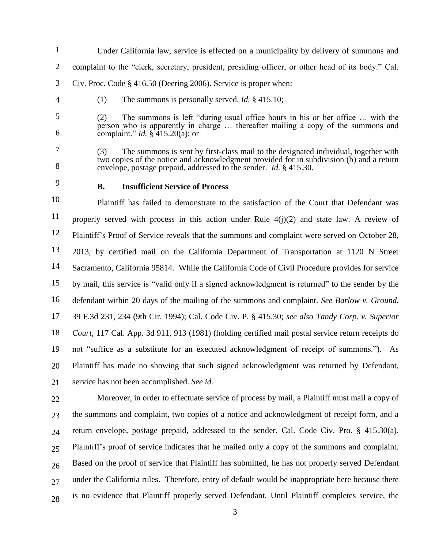- 1 2 3 4 5 6 7 8 9 10 11 12 13 14 15 16 17 18 19 20 21 22 23 24 25 Under California law, service is effected on a municipality by delivery of summons and complaint to the "clerk, secretary, president, presiding officer, or other head of its body." Cal. Civ. Proc. Code § 416.50 (Deering 2006). Service is proper when: (1) The summons is personally served. *Id.* § 415.10; (2) The summons is left "during usual office hours in his or her office … with the person who is apparently in charge … thereafter mailing a copy of the summons and complaint." *Id.* § 415.20(a); or (3) The summons is sent by first-class mail to the designated individual, together with two copies of the notice and acknowledgment provided for in subdivision (b) and a return envelope, postage prepaid, addressed to the sender. *Id.* § 415.30. **B. Insufficient Service of Process**  Plaintiff has failed to demonstrate to the satisfaction of the Court that Defendant was properly served with process in this action under Rule  $4(i)(2)$  and state law. A review of Plaintiff's Proof of Service reveals that the summons and complaint were served on October 28, 2013, by certified mail on the California Department of Transportation at 1120 N Street Sacramento, California 95814. While the California Code of Civil Procedure provides for service by mail, this service is "valid only if a signed acknowledgment is returned" to the sender by the defendant within 20 days of the mailing of the summons and complaint. *See Barlow v. Ground*, 39 F.3d 231, 234 (9th Cir. 1994); Cal. Code Civ. P. § 415.30; *see also Tandy Corp. v. Superior Court*, 117 Cal. App. 3d 911, 913 (1981) (holding certified mail postal service return receipts do not "suffice as a substitute for an executed acknowledgment of receipt of summons."). As Plaintiff has made no showing that such signed acknowledgment was returned by Defendant, service has not been accomplished. *See id.*  Moreover, in order to effectuate service of process by mail, a Plaintiff must mail a copy of the summons and complaint, two copies of a notice and acknowledgment of receipt form, and a return envelope, postage prepaid, addressed to the sender. Cal. Code Civ. Pro. § 415.30(a). Plaintiff's proof of service indicates that he mailed only a copy of the summons and complaint.
- 26 27 Based on the proof of service that Plaintiff has submitted, he has not properly served Defendant under the California rules. Therefore, entry of default would be inappropriate here because there is no evidence that Plaintiff properly served Defendant. Until Plaintiff completes service, the

3

28